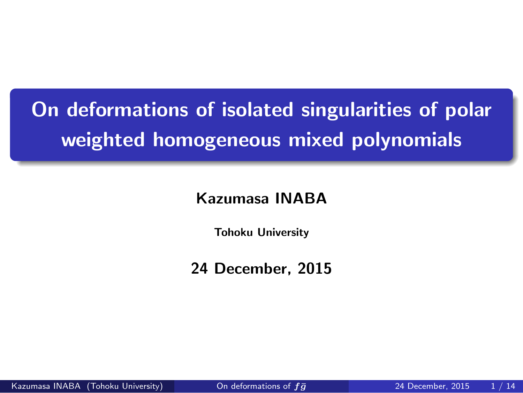**. weighted homogeneous mixed polynomials On deformations of isolated singularities of polar**

**Kazumasa INABA**

**Tohoku University**

**24 December, 2015**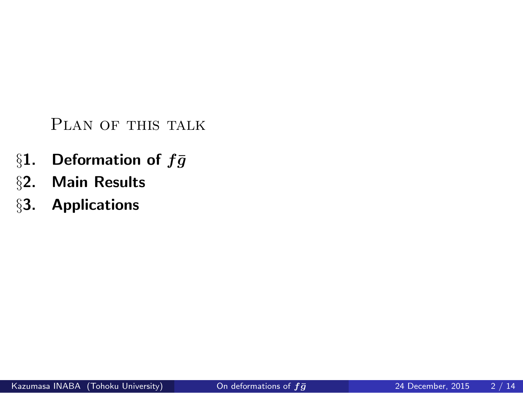PLAN OF THIS TALK

- §1. Deformation of  $f\bar{g}$ <br>§2. Main Results
- *§***2. Main Results**
- *§***3. Applications**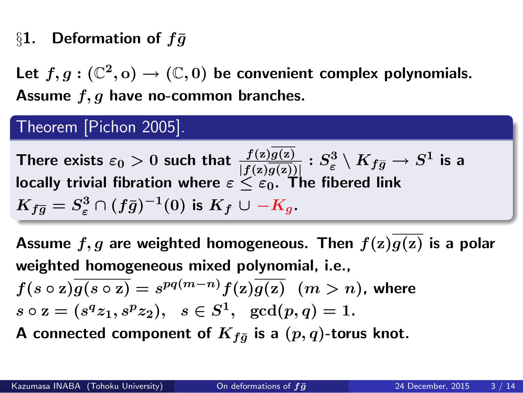### §1. Deformation of  $f\bar{g}$

Let  $f, g: (\mathbb{C}^2, o) \to (\mathbb{C}, 0)$  be convenient complex polynomials. **Assume** *f, g* **have no-common branches.**

### Theorem [Pichon 2005].

**There exists**  $\varepsilon_0 > 0$  such that  $\frac{f(z)g(z)}{|f(z)g(z)|} : S^3_{\varepsilon} \setminus K_{f\overline{g}} \to S^1$  is a **locally trivial fibration where** *ε ≤ ε***0. The fibered link**  $K_{f\overline{g}}=S^3_{\varepsilon}\cap (f\bar{g})^{-1}(0)$  is  $K_f\cup -K_g$ .

**. Assume** *f, g* **are weighted homogeneous. Then** *f***(z)***g***(z) is a polar weighted homogeneous mixed polynomial, i.e.,**  $f(s \circ \mathbf{z}) \overline{g(s \circ \mathbf{z})} = s^{pq(m-n)} f(\mathbf{z}) \overline{g(\mathbf{z})} \;\; (m > n)$ , where  $s \circ z = (s^q z_1, s^p z_2), \ \ s \in S^1, \ \ \gcd(p, q) = 1.$ 

**... A** connected component of  $K_{f\bar{g}}$  is a  $(p, q)$ -torus knot.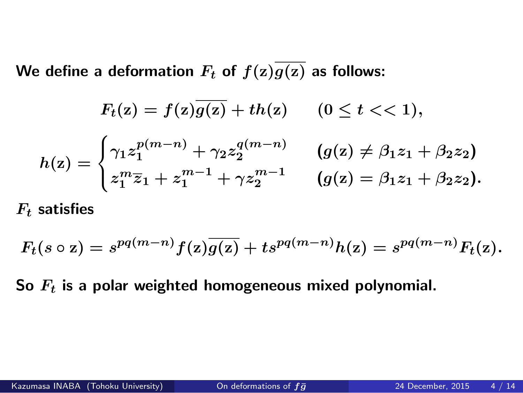We define a deformation  $F_t$  of  $f(z)\overline{g(z)}$  as follows:

$$
F_t(z) = f(z)\overline{g(z)} + th(z) \qquad (0 \le t < 1),
$$
  
\n
$$
h(z) = \begin{cases} \gamma_1 z_1^{p(m-n)} + \gamma_2 z_2^{q(m-n)} & (g(z) \ne \beta_1 z_1 + \beta_2 z_2) \\ z_1^m \overline{z}_1 + z_1^{m-1} + \gamma z_2^{m-1} & (g(z) = \beta_1 z_1 + \beta_2 z_2). \end{cases}
$$

*F*<sup>t</sup> **satisfies**

$$
F_t(s\circ z)=s^{pq(m-n)}f(z)\overline{g(z)}+ts^{pq(m-n)}h(z)=s^{pq(m-n)}F_t(z).
$$

**So** *F*<sup>t</sup> **is a polar weighted homogeneous mixed polynomial.**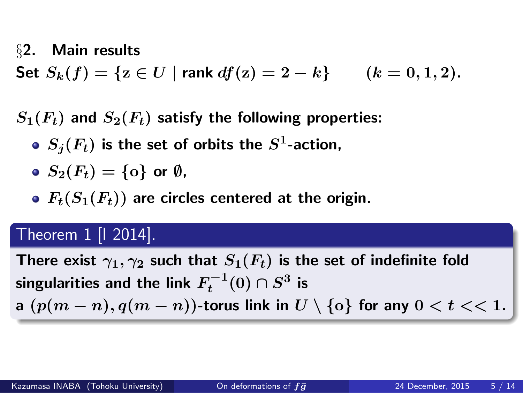### *§***2. Main results**

**Set**  $S_k(f) = \{z \in U \mid \text{rank } df(z) = 2 - k\}$   $(k = 0, 1, 2)$ .

 $S_1(F_t)$  and  $S_2(F_t)$  satisfy the following properties:

- $S_j(F_t)$  is the set of orbits the  $S^1$ -action,
- $S_2(F_t) = \{\text{0}\}$  or  $\emptyset$ ,
- $F_t(S_1(F_t))$  are circles centered at the origin.

# Theorem 1 [I 2014].

**T**here exist  $\gamma_1, \gamma_2$  such that  $S_1(F_t)$  is the set of indefinite fold  $\mathbf{s}$ ingularities and the link  $F_t^{-1}(0) \cap S^3$  is a  $(p(m-n), q(m-n))$ -torus link in  $U \setminus \{o\}$  for any  $0 < t <$  1.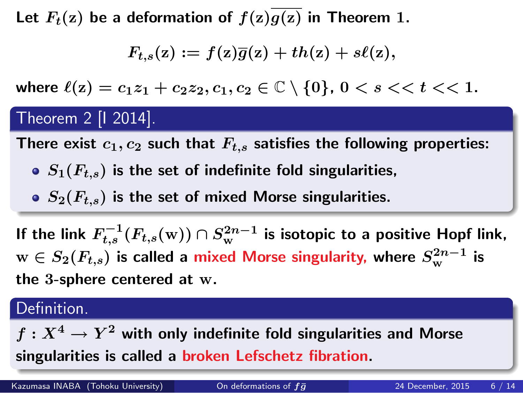Let  $F_t(z)$  be a deformation of  $f(z)\overline{g(z)}$  in Theorem 1.

$$
F_{t,s}(z) := f(z)\overline{g}(z) + th(z) + s\ell(z),
$$

where  $\ell(z) = c_1 z_1 + c_2 z_2, c_1, c_2 \in \mathbb{C} \setminus \{0\}, 0 < s < t < 1$ .

# Theorem 2 [I 2014].

There exist  $c_1, c_2$  such that  $F_{t,s}$  satisfies the following properties:

- $S_1(F_{t,s})$  is the set of indefinite fold singularities,
- *S***2(***F*t;s**) is the set of mixed Morse singularities.**

**.** If the link  $F_{t,s}^{-1}(F_{t,s}(\mathrm{w}))\cap S_{\mathrm{w}}^{2n-1}$  is isotopic to a positive Hopf link,  $w \in S_2(F_{t,s})$  is called a mixed Morse singularity, where  $S_{\mathrm{w}}^{2n-1}$  is **the 3-sphere centered at w.**

#### **.. .** Definition.

 $f: X^4 \rightarrow Y^2$  with only indefinite fold singularities and Morse **singularities is called a broken Lefschetz fibration.**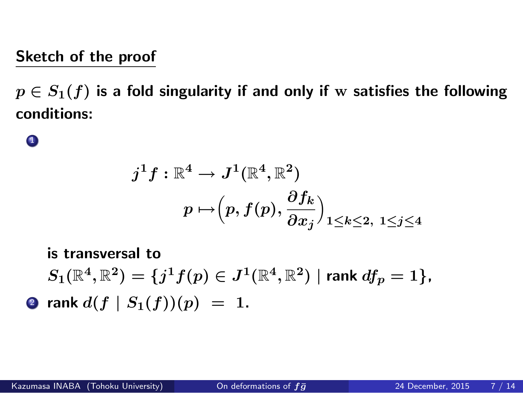# **Sketch of the proof**

*p ∈ S***1(***f***) is a fold singularity if and only if w satisfies the following conditions:**

# $\bullet$

$$
\begin{aligned} j^1f:\mathbb{R}^4&\rightarrow J^1(\mathbb{R}^4,\mathbb{R}^2)\\&p\mapsto\Bigr(p,f(p),\frac{\partial f_k}{\partial x_j}\Bigr)_{1\leq k\leq 2,\ 1\leq j\leq 4}\end{aligned}
$$

**is transversal to**  $S_1(\mathbb{R}^4,\mathbb{R}^2)=\{j^1f(p)\in J^1(\mathbb{R}^4,\mathbb{R}^2)\mid$  rank  $df_p=1\},$ **2** rank  $d(f | S_1(f))(p) = 1$ .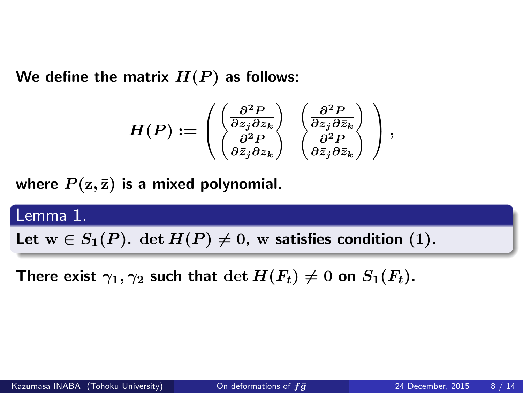We define the matrix  $H(P)$  as follows:

$$
H(P):=\begin{pmatrix} \left(\frac{\partial^2 P}{\partial z_j\partial z_k}\right) & \left(\frac{\partial^2 P}{\partial z_j\partial \bar{z}_k}\right) \\ \left(\frac{\partial^2 P}{\partial \bar{z}_j\partial z_k}\right) & \left(\frac{\partial^2 P}{\partial \bar{z}_j\partial \bar{z}_k}\right) \end{pmatrix},
$$

where  $P(z, \bar{z})$  is a mixed polynomial.

Lemma **1**. Let  $w \in S_1(P)$ ,  $\det H(P) \neq 0$ , w satisfies condition (1).

**There exist**  $\gamma_1, \gamma_2$  such that  $\det H(F_t) \neq 0$  on  $S_1(F_t)$ .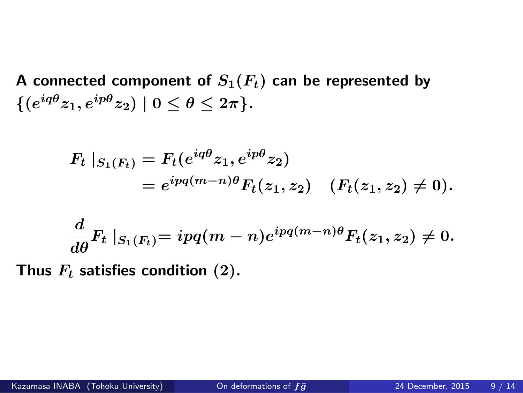**A** connected component of  $S_1(F_t)$  can be represented by  $\{(e^{iq\theta}z_1,e^{ip\theta}z_2)\mid 0\leq \theta\leq 2\pi\}.$ 

$$
F_t |_{S_1(F_t)} = F_t(e^{iq\theta}z_1, e^{ip\theta}z_2)
$$
  
=  $e^{ipq(m-n)\theta} F_t(z_1, z_2) \quad (F_t(z_1, z_2) \neq 0).$   

$$
\frac{d}{d\theta} F_t |_{S_1(F_t)} = ipq(m-n)e^{ipq(m-n)\theta} F_t(z_1, z_2) \neq 0.
$$

**Thus** *F*<sup>t</sup> **satisfies condition (2).**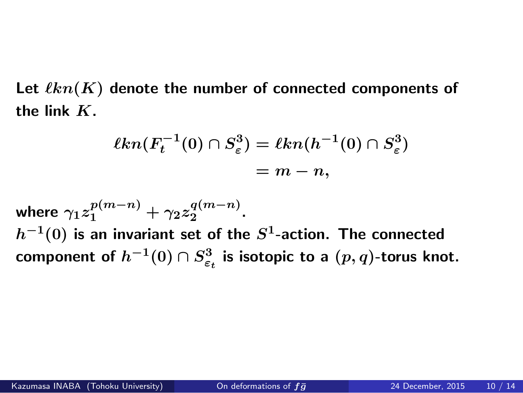Let  $\ell kn(K)$  denote the number of connected components of **the link** *K***.**

$$
\ell kn(F_t^{-1}(0) \cap S_{\varepsilon}^3) = \ell kn(h^{-1}(0) \cap S_{\varepsilon}^3)
$$
  
=  $m - n$ ,

 $\textsf{where} \ \gamma_1 z_1^{p(m-n)} + \gamma_2 z_2^{q(m-n)}.$  $h^{-1}(0)$  is an invariant set of the  $S^1$ -action. The connected  $\mathbf{f}(\mathbf{x}) = \mathbf{f}(\mathbf{x})$   $\mathbf{f}(\mathbf{x}) = \mathbf{f}(\mathbf{x}) - \mathbf{f}(\mathbf{x})$  is isotopic to a  $(p, q)$ -torus knot.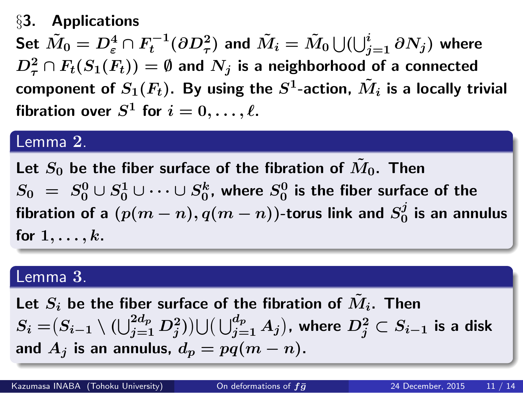#### *§***3. Applications**

Set  $\tilde{M}_0=D^4_\varepsilon\cap F^{-1}_t(\partial D^2_\tau)$  and  $\tilde{M}_i=\tilde{M}_0\bigcup(\bigcup_{j=1}^i\partial N_j)$  where  $D_{\tau}^2 \cap F_t(S_1(F_t)) = \emptyset$  and  $N_j$  is a neighborhood of a connected component of  $S_1(F_t)$ . By using the  $S^1$ -action,  $\tilde{M}_i$  is a locally trivial  ${\bf f}$ ibration over  $S^1$  for  $i=0,\ldots,\ell.$ 

#### Lemma **2**.

Let  $S_0$  be the fiber surface of the fibration of  $\tilde{M}_0$ . Then  $S_0$   $=$   $S_0^0 \cup S_0^1 \cup \cdots \cup S_0^k$ , where  $S_0^0$  is the fiber surface of the *fibration of a*  $(p(m-n), q(m-n))$ *-torus link and*  $S_0^j$  $\frac{\partial}{\partial}$  is an annulus for  $1, \ldots, k$ .

### Lemma **3**.

Let  $S_i$  be the fiber surface of the fibration of  $\tilde{M}_i$ . Then  $S_i = (S_{i-1} \setminus (\bigcup_{j=1}^{2d_p} D^2_j)) \cup (\bigcup_{j=1}^{d_p} A_j)$ , where  $D^2_j \subset S_{i-1}$  is a disk and  $A_j$  is an annulus,  $d_p = pq(m - n)$ .

**.**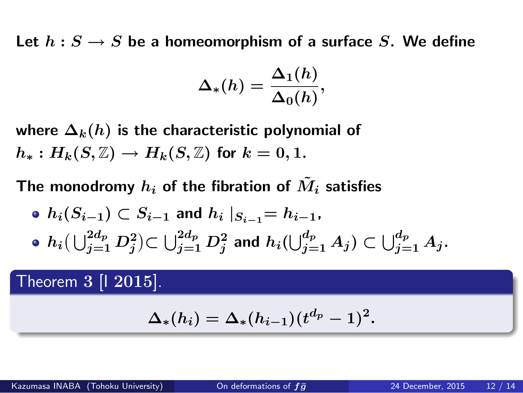Let  $h: S \to S$  be a homeomorphism of a surface *S*. We define

$$
\Delta_*(h) = \frac{\Delta_1(h)}{\Delta_0(h)},
$$

where  $\Delta_k(h)$  is the characteristic polynomial of  $h_*: H_k(S, \mathbb{Z}) \to H_k(S, \mathbb{Z})$  for  $k = 0, 1$ .

The monodromy  $h_i$  of the fibration of  $\tilde{M}_i$  satisfies

•  $h_i(S_{i-1}) \subset S_{i-1}$  and  $h_i |_{S_{i-1}} = h_{i-1}$ ,  $h_i(\bigcup_{j=1}^{2d_p} D_j^2)$ C $\bigcup_{j=1}^{2d_p} D_j^2$  and  $h_i(\bigcup_{j=1}^{d_p} A_j)$  C  $\bigcup_{j=1}^{d_p} A_j.$ 

Theorem **3** [I **2015**].

 $\Delta_*(h_i) = \Delta_*(h_{i-1})(t^{d_p}-1)^2.$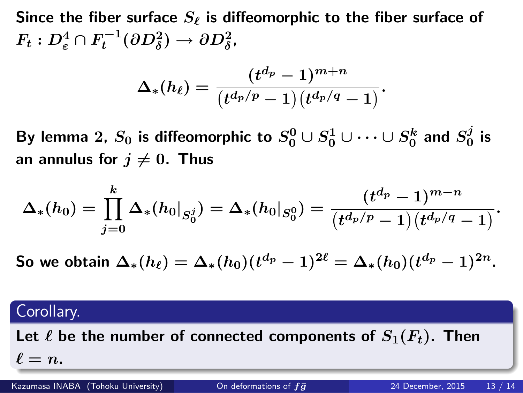Since the fiber surface  $S_\ell$  is diffeomorphic to the fiber surface of  $F_t: D^4_\varepsilon \cap F_t^{-1}(\partial D^2_\delta) \to \partial D^2_\delta,$ 

$$
\Delta_*(h_\ell)=\frac{(t^{d_p}-1)^{m+n}}{(t^{d_p/p}-1)(t^{d_p/q}-1)}.
$$

By lemma 2,  $S_0$  is diffeomorphic to  $S_0^0 \cup S_0^1 \cup \cdots \cup S_0^k$  and  $S_0^j$  $\frac{\jmath}{0}$  is an annulus for  $j \neq 0$ . Thus

$$
\Delta_*(h_0)=\prod_{j=0}^k\Delta_*(h_0|_{S_0^j})=\Delta_*(h_0|_{S_0^0})=\frac{(t^{d_p}-1)^{m-n}}{(t^{d_p/p}-1)(t^{d_p/q}-1)}.
$$

**So we obtain**  $\Delta_*(h_\ell) = \Delta_*(h_0) (t^{d_p} - 1)^{2\ell} = \Delta_*(h_0) (t^{d_p} - 1)^{2n}.$ 

# Corollary.

Let  $\ell$  be the number of connected components of  $S_1(F_t)$ . Then  $\ell = n$ . Kazumasa INABA (Tohoku University) On deformations of fg**¯** 24 December, 2015 13 / 14